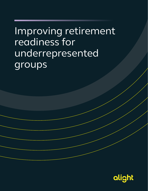# Improving retirement readiness for underrepresented groups

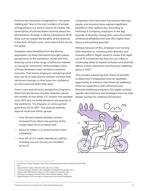America has long been recognized as "the great melting pot" due to the vast numbers of people immigrating to our land in search of a better life. Generations of schoolchildren learned about the phenomenon through a catchy Schoolhouse Rock ditty, and we reaped the benefits of this diversity in the form of food, music, and culture from across the globe.

Employers also benefited from the diverse population, as these individuals brought unique perspectives to the workplace. Along with that diversity came a wide range of behaviors related to saving for retirement. Unfortunately, many of those behaviors have not led to a positive outcome. That leaves employers wondering what they can do to help diverse workers increase their retirement savings, so they have the confidence to retire how and when they want.

From a race and ethnicity perspective, long-term data from the Bureau of Labor Statistics shows the number of non-white U.S. workers has doubled since 1979 and currently stands at one-quarter of the workforce<sup>1</sup>. The Hispanic or Latinx portion grew from 5% to 18%2 . The diversity extends beyond racial and ethnic groups:

- Over the last several decades, women increased from about one-quarter of the civilian labor force to nearly half<sup>3</sup>.
- About 10 million U.S.-based workers have a disability<sup>4</sup>.
- Over 5% of U.S. adults identify as LGBTQ+, including one out of every six members of Gen Z<sup>5</sup>.

Companies that have been focusing on diversity, equity, and inclusion have realized significant benefits to their bottom line. According to McKinsey & Company, employers in the top quartile of diversity among their executive teams achieved profitability that was 36% higher than those in the bottom quartile<sup>6</sup>.

Perhaps because of this, employers are turning their attention to reviewing their diversity and inclusion efforts. Alight research shows that eight out of 10 companies say they are very likely or moderately likely to expand inclusion and diversity efforts in their retirement and financial wellbeing plans in 20227 .

This includes examining their financial benefits to determine if employees have an equitable opportunity to enhance their financial wellbeing. Given our experience with retirement and financial wellbeing programs, this paper outlines specific plan features and strategies that can help bolster savings for underserved workers.



<sup>1</sup> US Bureau of Labor Statistics, *Labor force characteristics by race and ethnicity, 2019*, 2020

<sup>2</sup> Ibid

<sup>3</sup> Department of Labor, *Women in the Labor Force*, 2020

<sup>4</sup> US Census Bureau, *Workers with a Disability by Detailed Occupation,* 2017

<sup>5</sup> Gallup, *LGBT Identification Rises to 5.6% in Latest US Estimate*, 2021

<sup>6</sup> McKinsey & Company, *Diversity Wins: Why Inclusion Matters*, 2020

<sup>7</sup> Alight Solutions, *2022 Hot Topics in Retirement and Financial Wellbeing*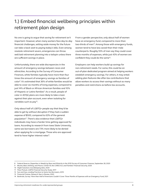# 1.) Embed financial wellbeing principles within retirement plan design

No one is going to argue that saving for retirement isn't important. However, when many workers face day-to-day financial challenges, setting aside money for the future can take a back seat to paying today's bills. Even among resolute retirement savers, emergencies can throw well-laid retirement planning into a tailspin unless there are sufficient savings in place.

Unfortunately, there are wide discrepancies in the amount of emergency savings between races and ethnicities. According to the Survey of Consumer Finances, white families typically have more than four times the amount of emergency savings as families of color8. It's estimated that 36% of white families would be able to cover six months of living expenses, compared to just 14% of Black or African American families and 10% of Hispanic or Latinx families<sup>9</sup>. As a result, people of color in 401(k) plans are more likely to take a loan against their plan account, even when isolating for variables such as pay<sup>10</sup>.

Only about half of LGBTQ+ people say that they'd be able to get by without disruption if they had a sudden expense of \$500, compared to 63% of the general population<sup>11</sup>. There's also evidence that LGBTQ+ individuals may have a harder time getting approved for loans. According to research from Iowa State University, same-sex borrowers are 73% more likely to be denied when applying for a mortgage. Those who are approved tend to have higher interest rates<sup>12</sup>.

From a gender perspective, only about half of women have an emergency fund, compared to more than two-thirds of men $13$ . Among those with emergency funds, women tend to have less saved than their male counterparts. Roughly 55% of men say they could cover three months of expenses, while just 43% of women are confident they could do the same<sup>14</sup>.

Employers can help workers build up savings for non-retirement needs. For some, this could be an out-of-plan dedicated program aimed at helping workers establish emergency savings. For others, it may entail adding plan features like after-tax contributions that allow workers to access their savings without as many penalties and restrictions as before-tax accounts.

<sup>8</sup>Federal Reserve, *Disparities in Wealth by Race and Ethnicity in the 2019 Survey of Consumer Finances,* September 28, 2020

<sup>9</sup> Bhutta, Blair, Dettling, and Moore, *COVID-19, the CARES Act, and Families' Financial Security,* 2020

<sup>10</sup> Alight Solutions recordkeeping data, 2020

<sup>11</sup> Mass Mutual, *LGBTQ Financial Security Study,* 2017

<sup>12</sup> Sun and Gao, *Lending Practices to Same-Sex Borrowers,* 2019

<sup>13</sup> Financial Finesse, *Research Year in Review,* 2020

<sup>14</sup> Bankrate, *Survey: More than Half of Americans Couldn't Cover Three Months of Expenses with an Emergency Fund, 2021*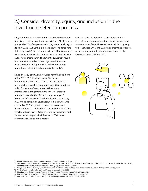## 2.) Consider diversity, equity, and inclusion in the investment selection process

Only a handful of companies have examined the culture and diversity of the asset managers in their 401(k) plans, but nearly 40% of employers said they were very likely to do so in 202215. While this is increasingly considered "the right thing to do," there's ample evidence that companies with strong initiatives to enhance diversity and inclusion outperform their peers<sup>16</sup>. The Knight Foundation found both women-owned and minority-owned firms are overrepresented in top-quartile performers among mutual funds, hedge funds, and private equity<sup>17</sup>.

Since diversity, equity, and inclusion form the backbone of the "S" in ESG (Environmental, Social, and Governance) funds, there could be increased interest for funds that invest in companies with DE&I initiatives. In 2020, one out of every three dollars under professional management in the United States was managed according to ESG investing strategies<sup>18</sup>. Moreover, inflows to ESG funds doubled from their high in 2019 and achieved a level nearly 10 times what was seen in 2018<sup>19</sup>. This growth is expected to continue. Research from the CFA Institute shows that 85% of CFA charter holders take ESG factors into consideration and three-quarters expect the influence of ESG factors to increase in the next five years<sup>20</sup>.

Over the past several years, there's been growth in assets under management of minority-owned and women-owned firms. However there's still a long way to go. Between 2016 and 2021, the percentage of assets under management by diverse-owned funds only increased from 1.0% to 1.4%<sup>21</sup>.



<sup>15</sup> Alight Solutions*, Hot Topics in Retirement and Financial Wellbeing,* 2022

<sup>16</sup> See, for example, McKinsey & Company, *Why Diversity Matters,* 2015; Credit Suisse, *Strong Diversity and Inclusion Practices are Good for Business*, 2020; Morningstar, *How Can Investors Measure Diversity, Equity, and Inclusion?*, 2021

<sup>17</sup> Knight Foundation, *Diversifying Investments: A Study of Ownership Diversity and Performance in the Asset Management Industry*, 2019

<sup>18</sup> US SIF, *Report on US Sustainable and Impact Investing Trends,* 2020

<sup>19</sup> Morningstar, *A Broken Record: Flows for U.S. Sustainable Funds Again Reach New Heights*, 2021

<sup>20</sup> CFA Institute, *Future of Sustainability in Investment Management: From Ideas to Reality*, 2021

<sup>21</sup> Bella Private Markets, *Knight Diversity of Asset Managers Research Series: Industry,* 2021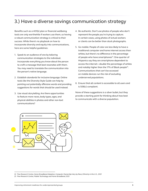### 3.) Have a diverse savings communication strategy

Benefits such as a 401(k) plan or financial wellbeing tools are only worthwhile if workers use them, so having a robust communication strategy is critical to their success. While there's no playbook on how to incorporate diversity and equity into communications, here are some helpful guidelines:

- 1. Speak to an audience of one by tailoring communication strategies to the individual. Incorporate everything you know about the person to craft a message that best resonates with them. You may need to translate the communication into the person's native language.
- 2. Establish standards for inclusive language. Online tools like the Diversity Style Guide can help by pointing out potentially offensive words and providing suggestions for words that should be used instead.
- 3. Use visual storytelling. Are there opportunities to feature more races, body types, ages, and physical abilities in photos and other non-text communications?
- 4. Be authentic. Don't use photos of people who don't represent the people you're trying to capture. In certain cases, using photos of actual workers or clients can be better than stock photographs.
- 5. Go mobile. People of color are less likely to have a traditional computer and home internet access than whites, but there's no difference in the percentage of people who have smartphones<sup>22</sup>. One-quarter of Hispanics say they are smartphone-dependent to access the internet—double the percentage of whites and notably higher than the 17% of Black people<sup>23</sup>. Communications that can't be accessed on mobile devices run the risk of excluding underserved populations.
- 6. Ensure that all content is accessible to all users and is 508(c) compliant.

None of these suggestions is a silver bullet, but they provide a starting point for thinking about how best to communicate with a diverse population.



<sup>22</sup>Pew Research Center, *Home Broadband Adoption, Computer Ownership Vary by Race, Ethnicity in the U.S.,* 2021

<sup>23</sup> Pew Research Center, *Mobile Technology and Home Broadband,* 2021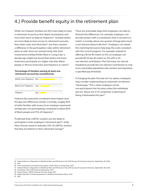### 4.) Provide benefit equity in the retirement plan

White non-Hispanic families are 50% more likely to have a retirement account as their Black counterparts and more than twice as likely as Hispanics<sup>24</sup>. Granted whites are more likely to have access to retirement accounts than other races and ethnicities<sup>25</sup>, but there remains a difference in the participation rates within retirement plans as well. Since our seminal study with Ariel Investments entitled 401(k) Plans in Living Color a decade ago, Alight has found that whites and Asian Americans participate at a higher rate than Black people or African Americans and Hispanics or Latinx<sup>26</sup>.

#### **Percentage of families owning at least one retirement account by race/ethnicity**



Features like automatic enrollment have helped close the gap, but differences remain. Currently, roughly 90% of white families with access to an employer-sponsored savings plan are participating, compared to about 80% of Black people and 75% of Hispanics<sup>27</sup>.

Prudential finds LGBTQ+ workers are less likely to participate in their employers' retirement plan<sup>28</sup>, while Mass Mutual research indicates 70% of LGBTQ+ workers feel they are behind on their retirement savings $^{29}$ .

There are actionable steps that employers can take to diminish the differences. For example, employers can provide workers with a contribution that is not tied to a match. Currently, about one-quarter of large plans have a non-elective feature like this<sup>30</sup>. Employers can tweak the matching formula to help keep the costs consistent with the current program. For example, instead of offering a \$1-for-\$1 match on 6%, an employer can provide \$0.50-per-\$1 match on 6% with a 3% non-elective contribution. Plan formulas can also be tweaked to provide the non-elective contribution to only more vulnerable populations like workers earning below a specified pay threshold.

If changing the plan formula isn't an option, employers may consider implementing an automatic enrollment "backsweep." This is when employers enroll non-participants into the plan unless the individuals opt out. About one in 10 companies is planning on doing a backsweep this year<sup>31</sup>.

<sup>24</sup> Federal Reserve, *Disparities in Wealth by Race and Ethnicity in the 2019 Survey of Consumer Finances*, September 28, 2020 25 Ibid.

<sup>26</sup> Ariel Investments and Hewitt Associates, *401(k) Plans in Living Color*, 2012

<sup>27</sup> Federal Reserve, *Disparities in Wealth by Race and Ethnicity in the 2019 Survey of Consumer Finances*, September 28, 2020

<sup>28</sup> Prudential, *The LGTB Financial Experience*, 2017

<sup>29</sup> Mass Mutual, *LGBTQ Financial Security Study*, 2017

<sup>30</sup> Alight Solutions, *Trends & Experience in Defined Contribution Plans,* 2021

<sup>31</sup> Ibid.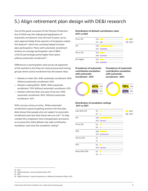### 5.) Align retirement plan design with DE&I research

One of the great successes of the Pension Protection Act of 2006 was the widespread legalization of automatic enrollment. Over the last 15 years, we've seen approximately three-quarters of employers adopt this feature<sup>32</sup>, which has certainly helped increase plan participation. Plans with automatic enrollment achieve an average participation rate of 88%, a full 20 percentage points higher than plans without automatic enrollment $33$ .

Differences in participation exist across all segments of the workforce, but they are most pronounced among groups where active enrollment has the lowest rates:

- Workers in their 20s: With automatic enrollment: 86%. Without automatic enrollment: 50%
- Workers making \$20K \$39K: With automatic enrollment: 79% Without automatic enrollment: 61%
- Workers with less than one year of service: With automatic enrollment: 84%. Without automatic enrollment: 42%

With success comes scrutiny. While automatic enrollment is good at getting workers into the plan, data shows that people who are subject to automatic enrollment save less than those who are not<sup>34</sup>. To help combat this, employers have changed plan provisions to increase the initial default rate, add contribution escalation, and raise the escalation ceiling<sup>35</sup>.

#### **Distribution of default contribution rates 2011 vs 2021**



**Prevalence of automatic contribution escalation with automatic enrollment - 2011**

**Prevalence of automatic contribution escalation with automatic enrollment - 2021**



#### **Distribution of escalation ceilings 2011 vs 2021**

| Less than 6%  | 4%  | 2011 |
|---------------|-----|------|
|               | 3%  | 2021 |
| 6%            | 50% |      |
|               | 25% |      |
| 7% to 9%      | 6%  |      |
|               | 4%  |      |
| 10%           | 28% |      |
|               | 37% |      |
| 11% to 14%    | 1%  |      |
|               | 1%  |      |
| 15%           | 6%  |      |
|               | 25% |      |
| More than 15% | 5%  |      |
|               | 4%  |      |

<sup>32</sup> Ibid.

<sup>33</sup> Alight Solutions, *Universe Benchmarks*, 2021

<sup>34</sup> Ibid.

<sup>35</sup> Alight Solutions, *Trends & Experience in Defined Contribution Plans*, 2021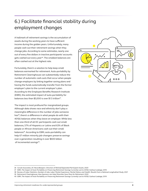# 6.) Facilitate financial stability during employment changes

A hallmark of retirement savings is the accumulation of assets during the working years to have sufficient income during the golden years. Unfortunately, many people cash out their retirement savings when they change jobs. According to some estimates, nearly one out of every five dollars in inactive participants' accounts gets cashed out every year<sup>36</sup>. The smallest balances are often cashed out at the highest rate.

Fortunately, there's a solution to help keep small balances earmarked for retirement. Auto-portability by Retirement Clearinghouse can substantially reduce the number of automatic cash-outs that occur when people change employers by linking together saving plans and having the funds automatically transfer from the former employer's plan to the current employer's plan. According to the Employee Benefits Research Institute (EBRI), the estimated impact of auto-portability for balances less than \$5,000 is over \$1.5 trillion<sup>37</sup>.

The impact is most profound for marginalized groups. Although data shows race and ethnicity don't play a meaningful difference in the number of jobs someone has<sup>38</sup>, there's a difference in what people do with their 401(k) balances when they leave an employer. While less than one-third of all DC participants cash out small balances, 57% of Hispanics or Latinx and 63% of Black people or African Americans cash out their small balances<sup>39</sup>. According to EBRI, auto-portability can help 67 million minority job-changers preserve savings over a generation resulting in over \$600 billion of incremental savings<sup>40</sup>.



<sup>36</sup> Cerulli Associates, *DC Recordkeepers: Direction of Retired/Separated Participant Assets*, 2020

<sup>37</sup> EBRI, *The Impact of Auto Portability on Preserving Retirement Savings Currently Lost to 401(k) Cashout Leakage*, 2019

<sup>38</sup> Bureau of Labor Statistics, *Number of Jobs, Labor Market Experience, Marital Status, and Health: Results from a National Longitudinal Study*, 2021 39 Retirement Clearinghouse, *How Sponsors can Help Minorities Save More for Retirement*, 2020

<sup>40</sup> EBRI, *The Impact of Auto Portability on Preserving Retirement Savings Currently Lost to 401(k) Cashout Leakage*, 2019